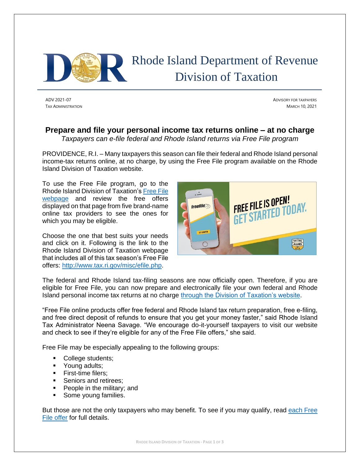

# Rhode Island Department of Revenue Division of Taxation

ADV 2021-07 ADVISORY FOR TAXPAYERS TAX ADMINISTRATION MARCH 10, 2021

## **Prepare and file your personal income tax returns online – at no charge**

*Taxpayers can e-file federal and Rhode Island returns via Free File program*

PROVIDENCE, R.I. – Many taxpayers this season can file their federal and Rhode Island personal income-tax returns online, at no charge, by using the Free File program available on the Rhode Island Division of Taxation website.

To use the Free File program, go to the Rhode Island Division of Taxation'[s Free File](http://www.tax.ri.gov/misc/efile.php) [webpage](http://www.tax.ri.gov/misc/efile.php) and review the free offers displayed on that page from five brand-name online tax providers to see the ones for which you may be eligible.

Choose the one that best suits your needs and click on it. Following is the link to the Rhode Island Division of Taxation webpage that includes all of this tax season's Free File offers: [http://www.tax.ri.gov/misc/efile.php.](http://www.tax.ri.gov/misc/efile.php)



The federal and Rhode Island tax-filing seasons are now officially open. Therefore, if you are eligible for Free File, you can now prepare and electronically file your own federal and Rhode Island personal income tax returns at no charge [through the Division of Taxation's website.](http://www.tax.ri.gov/misc/efile.php)

"Free File online products offer free federal and Rhode Island tax return preparation, free e-filing, and free direct deposit of refunds to ensure that you get your money faster," said Rhode Island Tax Administrator Neena Savage. "We encourage do-it-yourself taxpayers to visit our website and check to see if they're eligible for any of the Free File offers," she said.

Free File may be especially appealing to the following groups:

- College students;
- Young adults;
- **•** First-time filers:
- Seniors and retirees:
- People in the military; and
- Some young families.

But those are not the only taxpayers who may benefit. To see if you may qualify, read each Free [File offer](http://www.tax.ri.gov/misc/efile.php) for full details.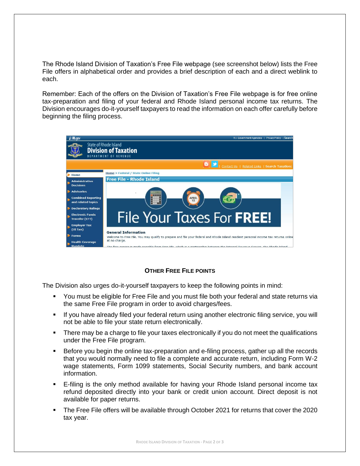The Rhode Island Division of Taxation's Free File webpage (see screenshot below) lists the Free File offers in alphabetical order and provides a brief description of each and a direct weblink to each.

Remember: Each of the offers on the Division of Taxation's Free File webpage is for free online tax-preparation and filing of your federal and Rhode Island personal income tax returns. The Division encourages do-it-yourself taxpayers to read the information on each offer carefully before beginning the filing process.



### **OTHER FREE FILE POINTS**

The Division also urges do-it-yourself taxpayers to keep the following points in mind:

- You must be eligible for Free File and you must file both your federal and state returns via the same Free File program in order to avoid charges/fees.
- If you have already filed your federal return using another electronic filing service, you will not be able to file your state return electronically.
- **•** There may be a charge to file your taxes electronically if you do not meet the qualifications under the Free File program.
- Before you begin the online tax-preparation and e-filing process, gather up all the records that you would normally need to file a complete and accurate return, including Form W-2 wage statements, Form 1099 statements, Social Security numbers, and bank account information.
- E-filing is the only method available for having your Rhode Island personal income tax refund deposited directly into your bank or credit union account. Direct deposit is not available for paper returns.
- The Free File offers will be available through October 2021 for returns that cover the 2020 tax year.